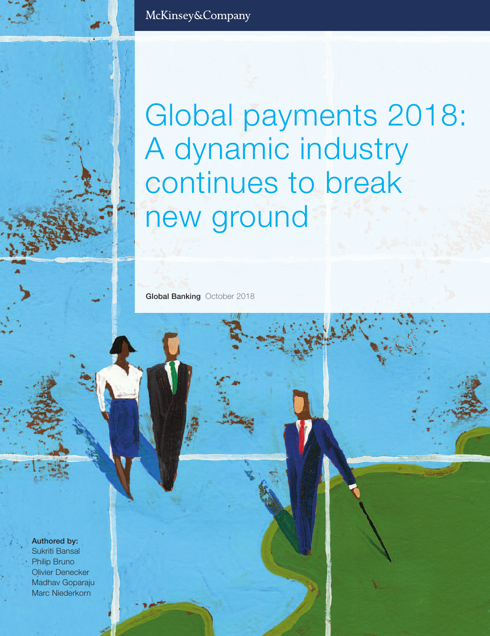Global payments 2018: A dynamic industry continues to break new ground

**Global Banking** October 2018

**Authored by:**

Sukriti Bansal Philip Bruno Olivier Denecker Madhav Goparaju Marc Niederkorn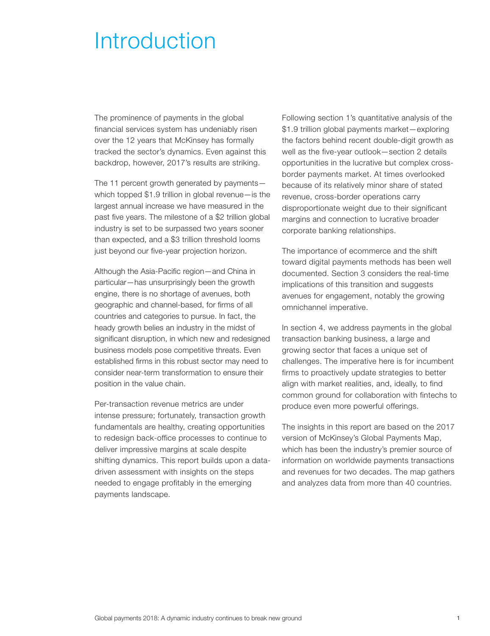## Introduction

The prominence of payments in the global financial services system has undeniably risen over the 12 years that McKinsey has formally tracked the sector's dynamics. Even against this backdrop, however, 2017's results are striking.

The 11 percent growth generated by payments which topped \$1.9 trillion in global revenue—is the largest annual increase we have measured in the past five years. The milestone of a \$2 trillion global industry is set to be surpassed two years sooner than expected, and a \$3 trillion threshold looms just beyond our five-year projection horizon.

Although the Asia-Pacific region—and China in particular—has unsurprisingly been the growth engine, there is no shortage of avenues, both geographic and channel-based, for firms of all countries and categories to pursue. In fact, the heady growth belies an industry in the midst of significant disruption, in which new and redesigned business models pose competitive threats. Even established firms in this robust sector may need to consider near-term transformation to ensure their position in the value chain.

Per-transaction revenue metrics are under intense pressure; fortunately, transaction growth fundamentals are healthy, creating opportunities to redesign back-office processes to continue to deliver impressive margins at scale despite shifting dynamics. This report builds upon a datadriven assessment with insights on the steps needed to engage profitably in the emerging payments landscape.

Following section 1's quantitative analysis of the \$1.9 trillion global payments market—exploring the factors behind recent double-digit growth as well as the five-year outlook—section 2 details opportunities in the lucrative but complex crossborder payments market. At times overlooked because of its relatively minor share of stated revenue, cross-border operations carry disproportionate weight due to their significant margins and connection to lucrative broader corporate banking relationships.

The importance of ecommerce and the shift toward digital payments methods has been well documented. Section 3 considers the real-time implications of this transition and suggests avenues for engagement, notably the growing omnichannel imperative.

In section 4, we address payments in the global transaction banking business, a large and growing sector that faces a unique set of challenges. The imperative here is for incumbent firms to proactively update strategies to better align with market realities, and, ideally, to find common ground for collaboration with fintechs to produce even more powerful offerings.

The insights in this report are based on the 2017 version of McKinsey's Global Payments Map, which has been the industry's premier source of information on worldwide payments transactions and revenues for two decades. The map gathers and analyzes data from more than 40 countries.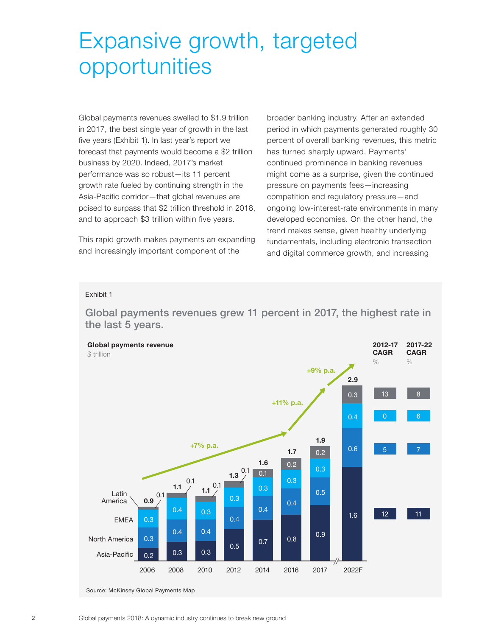# Expansive growth, targeted opportunities

Global payments revenues swelled to \$1.9 trillion in 2017, the best single year of growth in the last five years (Exhibit 1). In last year's report we forecast that payments would become a \$2 trillion business by 2020. Indeed, 2017's market performance was so robust—its 11 percent growth rate fueled by continuing strength in the Asia-Pacific corridor—that global revenues are poised to surpass that \$2 trillion threshold in 2018, and to approach \$3 trillion within five years.

This rapid growth makes payments an expanding and increasingly important component of the

broader banking industry. After an extended period in which payments generated roughly 30 percent of overall banking revenues, this metric has turned sharply upward. Payments' continued prominence in banking revenues might come as a surprise, given the continued pressure on payments fees—increasing competition and regulatory pressure—and ongoing low-interest-rate environments in many developed economies. On the other hand, the trend makes sense, given healthy underlying fundamentals, including electronic transaction and digital commerce growth, and increasing

#### Exhibit 1

**Global payments revenues grew 11 percent in 2017, the highest rate in the last 5 years.** 

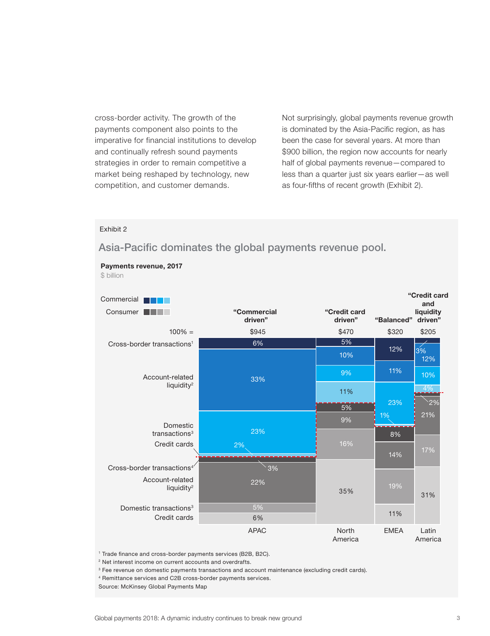cross-border activity. The growth of the payments component also points to the imperative for financial institutions to develop and continually refresh sound payments strategies in order to remain competitive a market being reshaped by technology, new competition, and customer demands.

Not surprisingly, global payments revenue growth is dominated by the Asia-Pacific region, as has been the case for several years. At more than \$900 billion, the region now accounts for nearly half of global payments revenue—compared to less than a quarter just six years earlier—as well as four-fifths of recent growth (Exhibit 2).

#### Exhibit 2

**Payments revenue, 2017**

### **Asia-Pacific dominates the global payments revenue pool.**



<sup>1</sup> Trade finance and cross-border payments services (B2B, B2C).

<sup>2</sup> Net interest income on current accounts and overdrafts.

<sup>3</sup> Fee revenue on domestic payments transactions and account maintenance (excluding credit cards).

4 Remittance services and C2B cross-border payments services.

Source: McKinsey Global Payments Map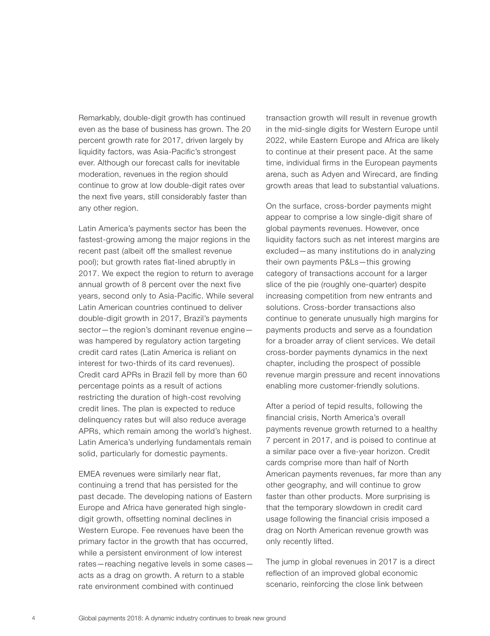Remarkably, double-digit growth has continued even as the base of business has grown. The 20 percent growth rate for 2017, driven largely by liquidity factors, was Asia-Pacific's strongest ever. Although our forecast calls for inevitable moderation, revenues in the region should continue to grow at low double-digit rates over the next five years, still considerably faster than any other region.

Latin America's payments sector has been the fastest-growing among the major regions in the recent past (albeit off the smallest revenue pool); but growth rates flat-lined abruptly in 2017. We expect the region to return to average annual growth of 8 percent over the next five years, second only to Asia-Pacific. While several Latin American countries continued to deliver double-digit growth in 2017, Brazil's payments sector—the region's dominant revenue engine was hampered by regulatory action targeting credit card rates (Latin America is reliant on interest for two-thirds of its card revenues). Credit card APRs in Brazil fell by more than 60 percentage points as a result of actions restricting the duration of high-cost revolving credit lines. The plan is expected to reduce delinquency rates but will also reduce average APRs, which remain among the world's highest. Latin America's underlying fundamentals remain solid, particularly for domestic payments.

EMEA revenues were similarly near flat, continuing a trend that has persisted for the past decade. The developing nations of Eastern Europe and Africa have generated high singledigit growth, offsetting nominal declines in Western Europe. Fee revenues have been the primary factor in the growth that has occurred, while a persistent environment of low interest rates—reaching negative levels in some cases acts as a drag on growth. A return to a stable rate environment combined with continued

transaction growth will result in revenue growth in the mid-single digits for Western Europe until 2022, while Eastern Europe and Africa are likely to continue at their present pace. At the same time, individual firms in the European payments arena, such as Adyen and Wirecard, are finding growth areas that lead to substantial valuations.

On the surface, cross-border payments might appear to comprise a low single-digit share of global payments revenues. However, once liquidity factors such as net interest margins are excluded—as many institutions do in analyzing their own payments P&Ls—this growing category of transactions account for a larger slice of the pie (roughly one-quarter) despite increasing competition from new entrants and solutions. Cross-border transactions also continue to generate unusually high margins for payments products and serve as a foundation for a broader array of client services. We detail cross-border payments dynamics in the next chapter, including the prospect of possible revenue margin pressure and recent innovations enabling more customer-friendly solutions.

After a period of tepid results, following the financial crisis, North America's overall payments revenue growth returned to a healthy 7 percent in 2017, and is poised to continue at a similar pace over a five-year horizon. Credit cards comprise more than half of North American payments revenues, far more than any other geography, and will continue to grow faster than other products. More surprising is that the temporary slowdown in credit card usage following the financial crisis imposed a drag on North American revenue growth was only recently lifted.

The jump in global revenues in 2017 is a direct reflection of an improved global economic scenario, reinforcing the close link between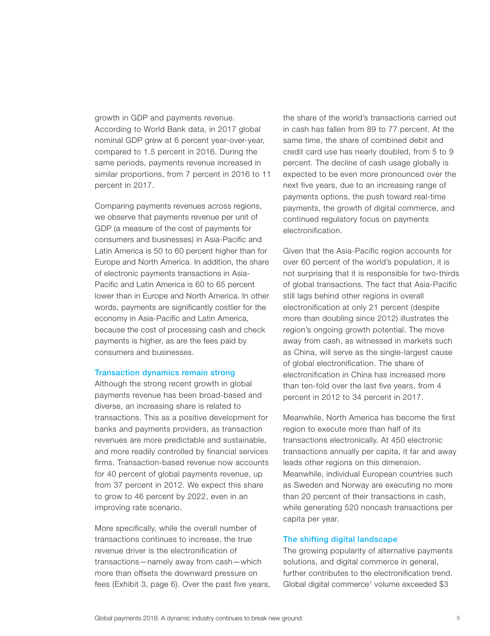growth in GDP and payments revenue. According to World Bank data, in 2017 global nominal GDP grew at 6 percent year-over-year, compared to 1.5 percent in 2016. During the same periods, payments revenue increased in similar proportions, from 7 percent in 2016 to 11 percent in 2017.

Comparing payments revenues across regions, we observe that payments revenue per unit of GDP (a measure of the cost of payments for consumers and businesses) in Asia-Pacific and Latin America is 50 to 60 percent higher than for Europe and North America. In addition, the share of electronic payments transactions in Asia-Pacific and Latin America is 60 to 65 percent lower than in Europe and North America. In other words, payments are significantly costlier for the economy in Asia-Pacific and Latin America, because the cost of processing cash and check payments is higher, as are the fees paid by consumers and businesses.

#### **Transaction dynamics remain strong**

Although the strong recent growth in global payments revenue has been broad-based and diverse, an increasing share is related to transactions. This as a positive development for banks and payments providers, as transaction revenues are more predictable and sustainable, and more readily controlled by financial services firms. Transaction-based revenue now accounts for 40 percent of global payments revenue, up from 37 percent in 2012. We expect this share to grow to 46 percent by 2022, even in an improving rate scenario.

More specifically, while the overall number of transactions continues to increase, the true revenue driver is the electronification of transactions—namely away from cash—which more than offsets the downward pressure on fees (Exhibit 3, page 6). Over the past five years, the share of the world's transactions carried out in cash has fallen from 89 to 77 percent. At the same time, the share of combined debit and credit card use has nearly doubled, from 5 to 9 percent. The decline of cash usage globally is expected to be even more pronounced over the next five years, due to an increasing range of payments options, the push toward real-time payments, the growth of digital commerce, and continued regulatory focus on payments electronification.

Given that the Asia-Pacific region accounts for over 60 percent of the world's population, it is not surprising that it is responsible for two-thirds of global transactions. The fact that Asia-Pacific still lags behind other regions in overall electronification at only 21 percent (despite more than doubling since 2012) illustrates the region's ongoing growth potential. The move away from cash, as witnessed in markets such as China, will serve as the single-largest cause of global electronification. The share of electronification in China has increased more than ten-fold over the last five years, from 4 percent in 2012 to 34 percent in 2017.

Meanwhile, North America has become the first region to execute more than half of its transactions electronically. At 450 electronic transactions annually per capita, it far and away leads other regions on this dimension. Meanwhile, individual European countries such as Sweden and Norway are executing no more than 20 percent of their transactions in cash, while generating 520 noncash transactions per capita per year.

#### **The shifting digital landscape**

The growing popularity of alternative payments solutions, and digital commerce in general, further contributes to the electronification trend. Global digital commerce<sup>1</sup> volume exceeded \$3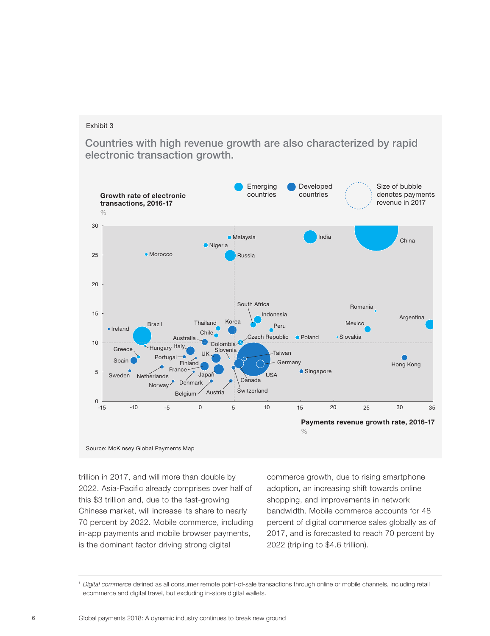**Countries with high revenue growth are also characterized by rapid electronic transaction growth.**



Source: McKinsey Global Payments Map

trillion in 2017, and will more than double by 2022. Asia-Pacific already comprises over half of this \$3 trillion and, due to the fast-growing Chinese market, will increase its share to nearly 70 percent by 2022. Mobile commerce, including in-app payments and mobile browser payments, is the dominant factor driving strong digital

commerce growth, due to rising smartphone adoption, an increasing shift towards online shopping, and improvements in network bandwidth. Mobile commerce accounts for 48 percent of digital commerce sales globally as of 2017, and is forecasted to reach 70 percent by 2022 (tripling to \$4.6 trillion).

<sup>1</sup>*Digital commerce* defined as all consumer remote point-of-sale transactions through online or mobile channels, including retail ecommerce and digital travel, but excluding in-store digital wallets.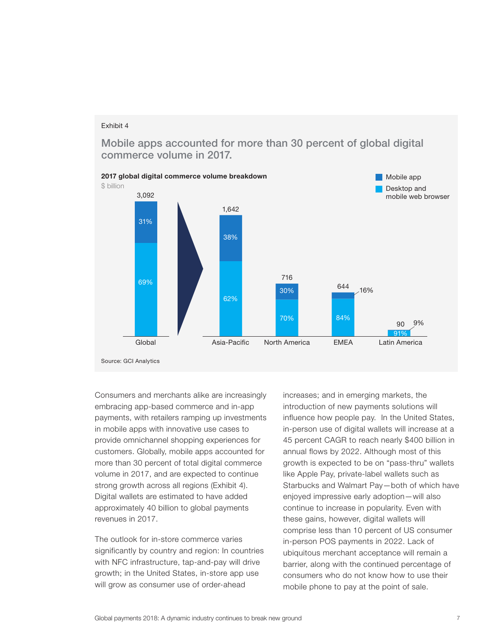**Mobile apps accounted for more than 30 percent of global digital commerce volume in 2017.**



Consumers and merchants alike are increasingly embracing app-based commerce and in-app payments, with retailers ramping up investments in mobile apps with innovative use cases to provide omnichannel shopping experiences for customers. Globally, mobile apps accounted for more than 30 percent of total digital commerce volume in 2017, and are expected to continue strong growth across all regions (Exhibit 4). Digital wallets are estimated to have added approximately 40 billion to global payments revenues in 2017.

The outlook for in-store commerce varies significantly by country and region: In countries with NFC infrastructure, tap-and-pay will drive growth; in the United States, in-store app use will grow as consumer use of order-ahead

increases; and in emerging markets, the introduction of new payments solutions will influence how people pay. In the United States, in-person use of digital wallets will increase at a 45 percent CAGR to reach nearly \$400 billion in annual flows by 2022. Although most of this growth is expected to be on "pass-thru" wallets like Apple Pay, private-label wallets such as Starbucks and Walmart Pay—both of which have enjoyed impressive early adoption—will also continue to increase in popularity. Even with these gains, however, digital wallets will comprise less than 10 percent of US consumer in-person POS payments in 2022. Lack of ubiquitous merchant acceptance will remain a barrier, along with the continued percentage of consumers who do not know how to use their mobile phone to pay at the point of sale.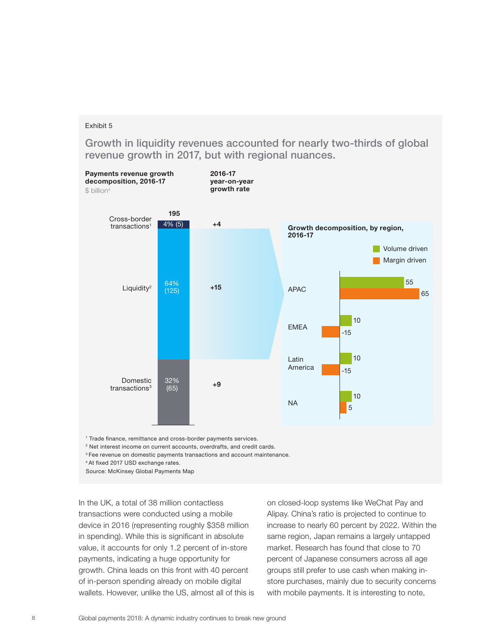**Growth in liquidity revenues accounted for nearly two-thirds of global revenue growth in 2017, but with regional nuances.**



2 Net interest income on current accounts, overdrafts, and credit cards.

<sup>3</sup> Fee revenue on domestic payments transactions and account maintenance.

<sup>4</sup> At fixed 2017 USD exchange rates.

Source: McKinsey Global Payments Map

In the UK, a total of 38 million contactless transactions were conducted using a mobile device in 2016 (representing roughly \$358 million in spending). While this is significant in absolute value, it accounts for only 1.2 percent of in-store payments, indicating a huge opportunity for growth. China leads on this front with 40 percent of in-person spending already on mobile digital wallets. However, unlike the US, almost all of this is on closed-loop systems like WeChat Pay and Alipay. China's ratio is projected to continue to increase to nearly 60 percent by 2022. Within the same region, Japan remains a largely untapped market. Research has found that close to 70 percent of Japanese consumers across all age groups still prefer to use cash when making instore purchases, mainly due to security concerns with mobile payments. It is interesting to note,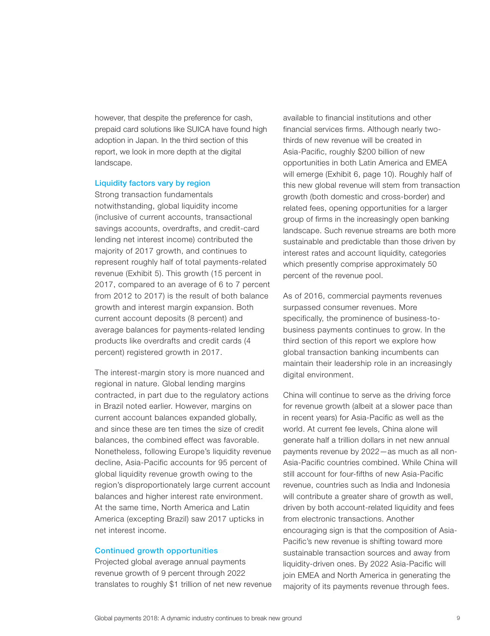however, that despite the preference for cash, prepaid card solutions like SUICA have found high adoption in Japan. In the third section of this report, we look in more depth at the digital landscape.

#### **Liquidity factors vary by region**

Strong transaction fundamentals notwithstanding, global liquidity income (inclusive of current accounts, transactional savings accounts, overdrafts, and credit-card lending net interest income) contributed the majority of 2017 growth, and continues to represent roughly half of total payments-related revenue (Exhibit 5). This growth (15 percent in 2017, compared to an average of 6 to 7 percent from 2012 to 2017) is the result of both balance growth and interest margin expansion. Both current account deposits (8 percent) and average balances for payments-related lending products like overdrafts and credit cards (4 percent) registered growth in 2017.

The interest-margin story is more nuanced and regional in nature. Global lending margins contracted, in part due to the regulatory actions in Brazil noted earlier. However, margins on current account balances expanded globally, and since these are ten times the size of credit balances, the combined effect was favorable. Nonetheless, following Europe's liquidity revenue decline, Asia-Pacific accounts for 95 percent of global liquidity revenue growth owing to the region's disproportionately large current account balances and higher interest rate environment. At the same time, North America and Latin America (excepting Brazil) saw 2017 upticks in net interest income.

#### **Continued growth opportunities**

Projected global average annual payments revenue growth of 9 percent through 2022 translates to roughly \$1 trillion of net new revenue available to financial institutions and other financial services firms. Although nearly twothirds of new revenue will be created in Asia-Pacific, roughly \$200 billion of new opportunities in both Latin America and EMEA will emerge (Exhibit 6, page 10). Roughly half of this new global revenue will stem from transaction growth (both domestic and cross-border) and related fees, opening opportunities for a larger group of firms in the increasingly open banking landscape. Such revenue streams are both more sustainable and predictable than those driven by interest rates and account liquidity, categories which presently comprise approximately 50 percent of the revenue pool.

As of 2016, commercial payments revenues surpassed consumer revenues. More specifically, the prominence of business-tobusiness payments continues to grow. In the third section of this report we explore how global transaction banking incumbents can maintain their leadership role in an increasingly digital environment.

China will continue to serve as the driving force for revenue growth (albeit at a slower pace than in recent years) for Asia-Pacific as well as the world. At current fee levels, China alone will generate half a trillion dollars in net new annual payments revenue by 2022—as much as all non-Asia-Pacific countries combined. While China will still account for four-fifths of new Asia-Pacific revenue, countries such as India and Indonesia will contribute a greater share of growth as well, driven by both account-related liquidity and fees from electronic transactions. Another encouraging sign is that the composition of Asia-Pacific's new revenue is shifting toward more sustainable transaction sources and away from liquidity-driven ones. By 2022 Asia-Pacific will join EMEA and North America in generating the majority of its payments revenue through fees.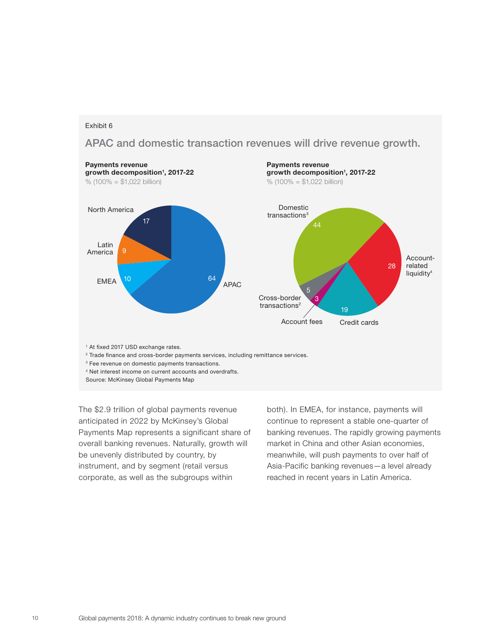**APAC and domestic transaction revenues will drive revenue growth.**



4 Net interest income on current accounts and overdrafts.

The \$2.9 trillion of global payments revenue anticipated in 2022 by McKinsey's Global Payments Map represents a significant share of overall banking revenues. Naturally, growth will be unevenly distributed by country, by instrument, and by segment (retail versus corporate, as well as the subgroups within

both). In EMEA, for instance, payments will continue to represent a stable one-quarter of banking revenues. The rapidly growing payments market in China and other Asian economies, meanwhile, will push payments to over half of Asia-Pacific banking revenues—a level already reached in recent years in Latin America.

Source: McKinsey Global Payments Map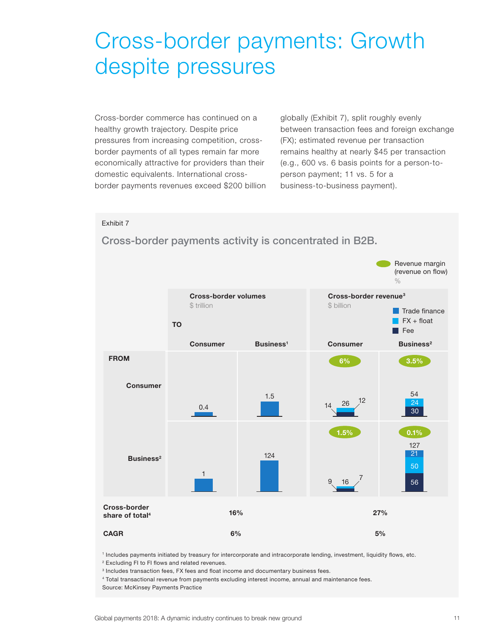# Cross-border payments: Growth despite pressures

Cross-border commerce has continued on a healthy growth trajectory. Despite price pressures from increasing competition, crossborder payments of all types remain far more economically attractive for providers than their domestic equivalents. International crossborder payments revenues exceed \$200 billion

globally (Exhibit 7), split roughly evenly between transaction fees and foreign exchange (FX); estimated revenue per transaction remains healthy at nearly \$45 per transaction (e.g., 600 vs. 6 basis points for a person-toperson payment; 11 vs. 5 for a business-to-business payment).

#### Exhibit 7



**Cross-border payments activity is concentrated in B2B.** 

1 Includes payments initiated by treasury for intercorporate and intracorporate lending, investment, liquidity ßows, etc. <sup>2</sup> Excluding FI to FI flows and related revenues.

 $3$  Includes transaction fees, FX fees and float income and documentary business fees.

4 Total transactional revenue from payments excluding interest income, annual and maintenance fees. Source: McKinsey Payments Practice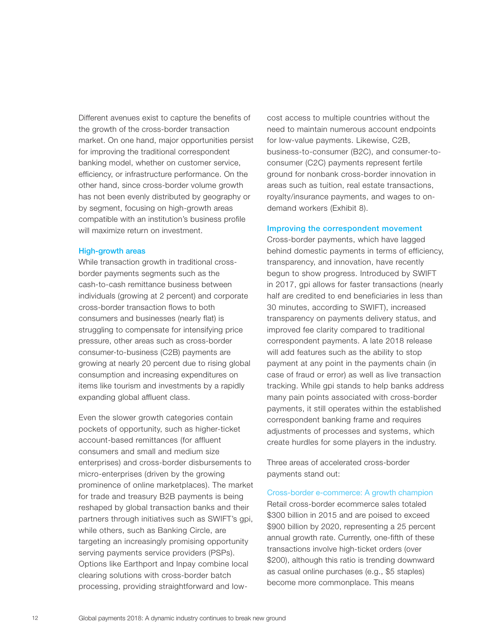Different avenues exist to capture the benefits of the growth of the cross-border transaction market. On one hand, major opportunities persist for improving the traditional correspondent banking model, whether on customer service, efficiency, or infrastructure performance. On the other hand, since cross-border volume growth has not been evenly distributed by geography or by segment, focusing on high-growth areas compatible with an institution's business profile will maximize return on investment.

#### **High-growth areas**

While transaction growth in traditional crossborder payments segments such as the cash-to-cash remittance business between individuals (growing at 2 percent) and corporate cross-border transaction flows to both consumers and businesses (nearly flat) is struggling to compensate for intensifying price pressure, other areas such as cross-border consumer-to-business (C2B) payments are growing at nearly 20 percent due to rising global consumption and increasing expenditures on items like tourism and investments by a rapidly expanding global affluent class.

Even the slower growth categories contain pockets of opportunity, such as higher-ticket account-based remittances (for affluent consumers and small and medium size enterprises) and cross-border disbursements to micro-enterprises (driven by the growing prominence of online marketplaces). The market for trade and treasury B2B payments is being reshaped by global transaction banks and their partners through initiatives such as SWIFT's gpi, while others, such as Banking Circle, are targeting an increasingly promising opportunity serving payments service providers (PSPs). Options like Earthport and Inpay combine local clearing solutions with cross-border batch processing, providing straightforward and lowcost access to multiple countries without the need to maintain numerous account endpoints for low-value payments. Likewise, C2B, business-to-consumer (B2C), and consumer-toconsumer (C2C) payments represent fertile ground for nonbank cross-border innovation in areas such as tuition, real estate transactions, royalty/insurance payments, and wages to ondemand workers (Exhibit 8).

#### **Improving the correspondent movement**

Cross-border payments, which have lagged behind domestic payments in terms of efficiency, transparency, and innovation, have recently begun to show progress. Introduced by SWIFT in 2017, gpi allows for faster transactions (nearly half are credited to end beneficiaries in less than 30 minutes, according to SWIFT), increased transparency on payments delivery status, and improved fee clarity compared to traditional correspondent payments. A late 2018 release will add features such as the ability to stop payment at any point in the payments chain (in case of fraud or error) as well as live transaction tracking. While gpi stands to help banks address many pain points associated with cross-border payments, it still operates within the established correspondent banking frame and requires adjustments of processes and systems, which create hurdles for some players in the industry.

Three areas of accelerated cross-border payments stand out:

Cross-border e-commerce: A growth champion Retail cross-border ecommerce sales totaled \$300 billion in 2015 and are poised to exceed \$900 billion by 2020, representing a 25 percent annual growth rate. Currently, one-fifth of these transactions involve high-ticket orders (over \$200), although this ratio is trending downward as casual online purchases (e.g., \$5 staples) become more commonplace. This means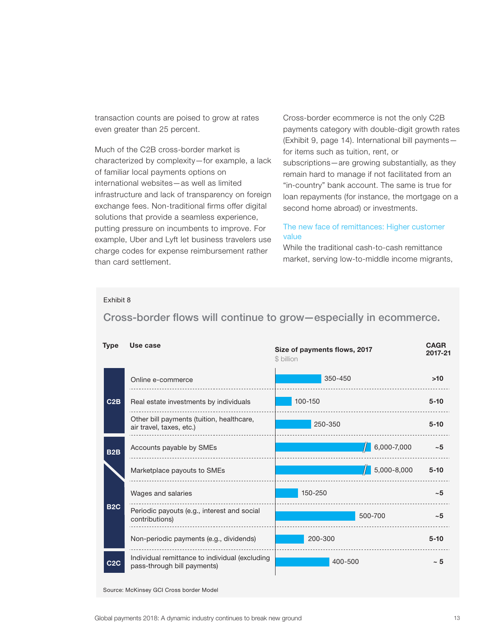transaction counts are poised to grow at rates even greater than 25 percent.

Much of the C2B cross-border market is characterized by complexity—for example, a lack of familiar local payments options on international websites—as well as limited infrastructure and lack of transparency on foreign exchange fees. Non-traditional firms offer digital solutions that provide a seamless experience, putting pressure on incumbents to improve. For example, Uber and Lyft let business travelers use charge codes for expense reimbursement rather than card settlement.

Cross-border ecommerce is not the only C2B payments category with double-digit growth rates (Exhibit 9, page 14). International bill payments for items such as tuition, rent, or subscriptions—are growing substantially, as they remain hard to manage if not facilitated from an "in-country" bank account. The same is true for loan repayments (for instance, the mortgage on a

#### The new face of remittances: Higher customer value

second home abroad) or investments.

While the traditional cash-to-cash remittance market, serving low-to-middle income migrants,

#### Exhibit 8

Cross-border flows will continue to grow-especially in ecommerce.

| <b>Type</b>      | Use case                                                                      | <b>CAGR</b><br>Size of payments flows, 2017<br>2017-21<br>\$ billion |             |          |
|------------------|-------------------------------------------------------------------------------|----------------------------------------------------------------------|-------------|----------|
|                  | Online e-commerce                                                             | 350-450                                                              |             | >10      |
| C2B              | Real estate investments by individuals                                        | 100-150                                                              |             | $5 - 10$ |
|                  | Other bill payments (tuition, healthcare,<br>air travel, taxes, etc.)         | 250-350                                                              |             | $5 - 10$ |
| B <sub>2</sub> B | Accounts payable by SMEs                                                      |                                                                      | 6,000-7,000 | ~15      |
|                  | Marketplace payouts to SMEs                                                   |                                                                      | 5,000-8,000 | $5 - 10$ |
| <b>B2C</b>       | Wages and salaries                                                            | 150-250                                                              |             | ~15      |
|                  | Periodic payouts (e.g., interest and social<br>contributions)                 | 500-700                                                              |             | ~15      |
|                  | Non-periodic payments (e.g., dividends)                                       | 200-300                                                              |             | $5 - 10$ |
| C2C              | Individual remittance to individual (excluding<br>pass-through bill payments) | 400-500                                                              |             | ~5       |

Source: McKinsey GCI Cross border Model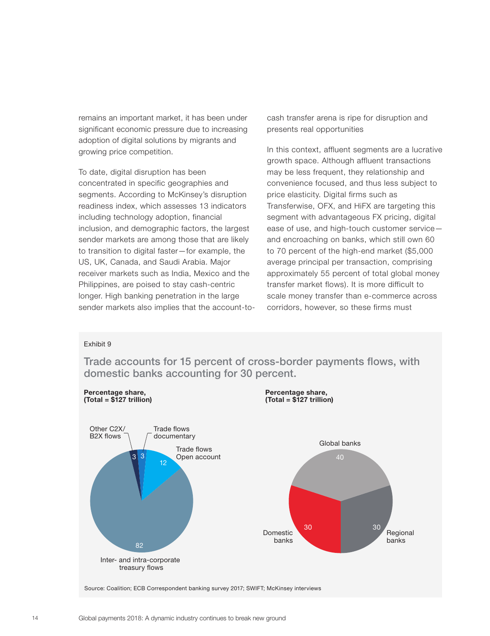remains an important market, it has been under significant economic pressure due to increasing adoption of digital solutions by migrants and growing price competition.

To date, digital disruption has been concentrated in specific geographies and segments. According to McKinsey's disruption readiness index, which assesses 13 indicators including technology adoption, financial inclusion, and demographic factors, the largest sender markets are among those that are likely to transition to digital faster—for example, the US, UK, Canada, and Saudi Arabia. Major receiver markets such as India, Mexico and the Philippines, are poised to stay cash-centric longer. High banking penetration in the large sender markets also implies that the account-tocash transfer arena is ripe for disruption and presents real opportunities

In this context, affluent segments are a lucrative growth space. Although affluent transactions may be less frequent, they relationship and convenience focused, and thus less subject to price elasticity. Digital firms such as Transferwise, OFX, and HiFX are targeting this segment with advantageous FX pricing, digital ease of use, and high-touch customer service and encroaching on banks, which still own 60 to 70 percent of the high-end market (\$5,000 average principal per transaction, comprising approximately 55 percent of total global money transfer market flows). It is more difficult to scale money transfer than e-commerce across corridors, however, so these firms must

#### Exhibit 9



**Trade accounts for 15 percent of cross-border payments flows, with domestic banks accounting for 30 percent.**

Source: Coalition; ECB Correspondent banking survey 2017; SWIFT; McKinsey interviews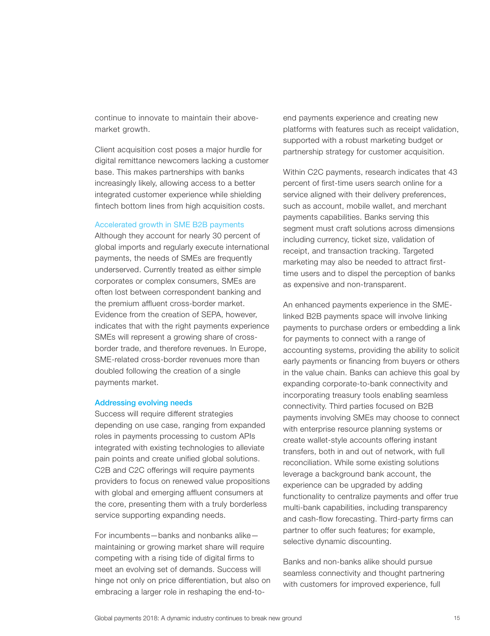continue to innovate to maintain their abovemarket growth.

Client acquisition cost poses a major hurdle for digital remittance newcomers lacking a customer base. This makes partnerships with banks increasingly likely, allowing access to a better integrated customer experience while shielding fintech bottom lines from high acquisition costs.

#### Accelerated growth in SME B2B payments

Although they account for nearly 30 percent of global imports and regularly execute international payments, the needs of SMEs are frequently underserved. Currently treated as either simple corporates or complex consumers, SMEs are often lost between correspondent banking and the premium affluent cross-border market. Evidence from the creation of SEPA, however, indicates that with the right payments experience SMEs will represent a growing share of crossborder trade, and therefore revenues. In Europe, SME-related cross-border revenues more than doubled following the creation of a single payments market.

#### **Addressing evolving needs**

Success will require different strategies depending on use case, ranging from expanded roles in payments processing to custom APIs integrated with existing technologies to alleviate pain points and create unified global solutions. C2B and C2C offerings will require payments providers to focus on renewed value propositions with global and emerging affluent consumers at the core, presenting them with a truly borderless service supporting expanding needs.

For incumbents—banks and nonbanks alike maintaining or growing market share will require competing with a rising tide of digital firms to meet an evolving set of demands. Success will hinge not only on price differentiation, but also on embracing a larger role in reshaping the end-toend payments experience and creating new platforms with features such as receipt validation, supported with a robust marketing budget or partnership strategy for customer acquisition.

Within C2C payments, research indicates that 43 percent of first-time users search online for a service aligned with their delivery preferences, such as account, mobile wallet, and merchant payments capabilities. Banks serving this segment must craft solutions across dimensions including currency, ticket size, validation of receipt, and transaction tracking. Targeted marketing may also be needed to attract firsttime users and to dispel the perception of banks as expensive and non-transparent.

An enhanced payments experience in the SMElinked B2B payments space will involve linking payments to purchase orders or embedding a link for payments to connect with a range of accounting systems, providing the ability to solicit early payments or financing from buyers or others in the value chain. Banks can achieve this goal by expanding corporate-to-bank connectivity and incorporating treasury tools enabling seamless connectivity. Third parties focused on B2B payments involving SMEs may choose to connect with enterprise resource planning systems or create wallet-style accounts offering instant transfers, both in and out of network, with full reconciliation. While some existing solutions leverage a background bank account, the experience can be upgraded by adding functionality to centralize payments and offer true multi-bank capabilities, including transparency and cash-flow forecasting. Third-party firms can partner to offer such features; for example, selective dynamic discounting.

Banks and non-banks alike should pursue seamless connectivity and thought partnering with customers for improved experience, full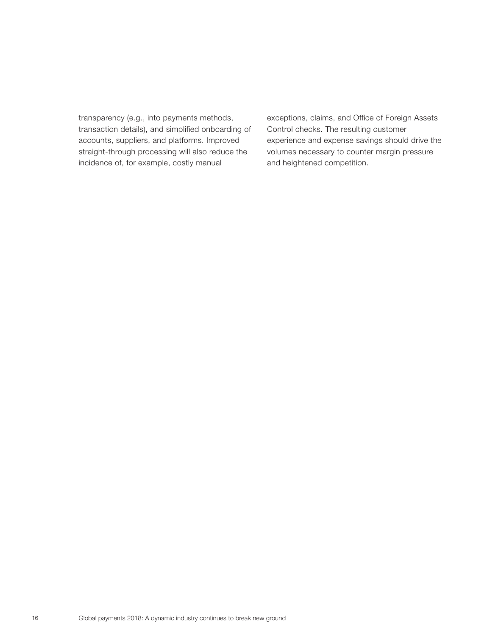transparency (e.g., into payments methods, transaction details), and simplified onboarding of accounts, suppliers, and platforms. Improved straight-through processing will also reduce the incidence of, for example, costly manual

exceptions, claims, and Office of Foreign Assets Control checks. The resulting customer experience and expense savings should drive the volumes necessary to counter margin pressure and heightened competition.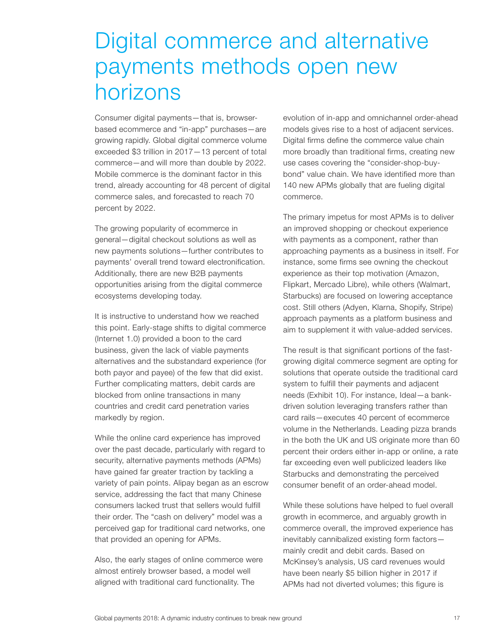# Digital commerce and alternative payments methods open new horizons

Consumer digital payments—that is, browserbased ecommerce and "in-app" purchases—are growing rapidly. Global digital commerce volume exceeded \$3 trillion in 2017—13 percent of total commerce—and will more than double by 2022. Mobile commerce is the dominant factor in this trend, already accounting for 48 percent of digital commerce sales, and forecasted to reach 70 percent by 2022.

The growing popularity of ecommerce in general—digital checkout solutions as well as new payments solutions—further contributes to payments' overall trend toward electronification. Additionally, there are new B2B payments opportunities arising from the digital commerce ecosystems developing today.

It is instructive to understand how we reached this point. Early-stage shifts to digital commerce (Internet 1.0) provided a boon to the card business, given the lack of viable payments alternatives and the substandard experience (for both payor and payee) of the few that did exist. Further complicating matters, debit cards are blocked from online transactions in many countries and credit card penetration varies markedly by region.

While the online card experience has improved over the past decade, particularly with regard to security, alternative payments methods (APMs) have gained far greater traction by tackling a variety of pain points. Alipay began as an escrow service, addressing the fact that many Chinese consumers lacked trust that sellers would fulfill their order. The "cash on delivery" model was a perceived gap for traditional card networks, one that provided an opening for APMs.

Also, the early stages of online commerce were almost entirely browser based, a model well aligned with traditional card functionality. The

evolution of in-app and omnichannel order-ahead models gives rise to a host of adjacent services. Digital firms define the commerce value chain more broadly than traditional firms, creating new use cases covering the "consider-shop-buybond" value chain. We have identified more than 140 new APMs globally that are fueling digital commerce.

The primary impetus for most APMs is to deliver an improved shopping or checkout experience with payments as a component, rather than approaching payments as a business in itself. For instance, some firms see owning the checkout experience as their top motivation (Amazon, Flipkart, Mercado Libre), while others (Walmart, Starbucks) are focused on lowering acceptance cost. Still others (Adyen, Klarna, Shopify, Stripe) approach payments as a platform business and aim to supplement it with value-added services.

The result is that significant portions of the fastgrowing digital commerce segment are opting for solutions that operate outside the traditional card system to fulfill their payments and adjacent needs (Exhibit 10). For instance, Ideal—a bankdriven solution leveraging transfers rather than card rails—executes 40 percent of ecommerce volume in the Netherlands. Leading pizza brands in the both the UK and US originate more than 60 percent their orders either in-app or online, a rate far exceeding even well publicized leaders like Starbucks and demonstrating the perceived consumer benefit of an order-ahead model.

While these solutions have helped to fuel overall growth in ecommerce, and arguably growth in commerce overall, the improved experience has inevitably cannibalized existing form factors mainly credit and debit cards. Based on McKinsey's analysis, US card revenues would have been nearly \$5 billion higher in 2017 if APMs had not diverted volumes; this figure is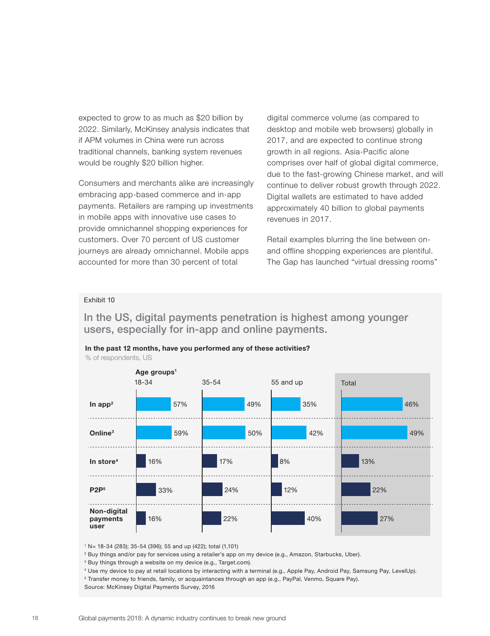expected to grow to as much as \$20 billion by 2022. Similarly, McKinsey analysis indicates that if APM volumes in China were run across traditional channels, banking system revenues would be roughly \$20 billion higher.

Consumers and merchants alike are increasingly embracing app-based commerce and in-app payments. Retailers are ramping up investments in mobile apps with innovative use cases to provide omnichannel shopping experiences for customers. Over 70 percent of US customer journeys are already omnichannel. Mobile apps accounted for more than 30 percent of total

digital commerce volume (as compared to desktop and mobile web browsers) globally in 2017, and are expected to continue strong growth in all regions. Asia-Pacific alone comprises over half of global digital commerce, due to the fast-growing Chinese market, and will continue to deliver robust growth through 2022. Digital wallets are estimated to have added approximately 40 billion to global payments revenues in 2017.

Retail examples blurring the line between onand offline shopping experiences are plentiful. The Gap has launched "virtual dressing rooms"

#### Exhibit 10

**In the US, digital payments penetration is highest among younger users, especially for in-app and online payments.**



**In the past 12 months, have you performed any of these activities?**

1 N= 18-34 (283); 35-54 (396); 55 and up (422); total (1,101)

<sup>2</sup> Buy things and/or pay for services using a retailer's app on my device (e.g., Amazon, Starbucks, Uber).

<sup>3</sup> Buy things through a website on my device (e.g., Target.com).

4 Use my device to pay at retail locations by interacting with a terminal (e.g., Apple Pay, Android Pay, Samsung Pay, LevelUp).

5 Transfer money to friends, family, or acquaintances through an app (e.g., PayPal, Venmo, Square Pay).

Source: McKinsey Digital Payments Survey, 2016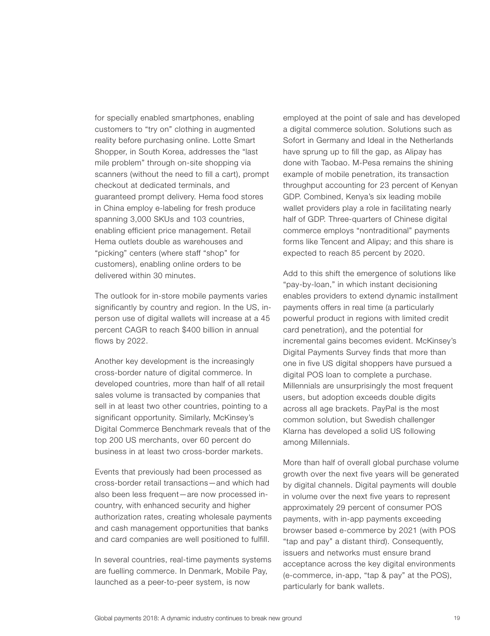for specially enabled smartphones, enabling customers to "try on" clothing in augmented reality before purchasing online. Lotte Smart Shopper, in South Korea, addresses the "last mile problem" through on-site shopping via scanners (without the need to fill a cart), prompt checkout at dedicated terminals, and guaranteed prompt delivery. Hema food stores in China employ e-labeling for fresh produce spanning 3,000 SKUs and 103 countries, enabling efficient price management. Retail Hema outlets double as warehouses and "picking" centers (where staff "shop" for customers), enabling online orders to be delivered within 30 minutes.

The outlook for in-store mobile payments varies significantly by country and region. In the US, inperson use of digital wallets will increase at a 45 percent CAGR to reach \$400 billion in annual flows by 2022.

Another key development is the increasingly cross-border nature of digital commerce. In developed countries, more than half of all retail sales volume is transacted by companies that sell in at least two other countries, pointing to a significant opportunity. Similarly, McKinsey's Digital Commerce Benchmark reveals that of the top 200 US merchants, over 60 percent do business in at least two cross-border markets.

Events that previously had been processed as cross-border retail transactions—and which had also been less frequent—are now processed incountry, with enhanced security and higher authorization rates, creating wholesale payments and cash management opportunities that banks and card companies are well positioned to fulfill.

In several countries, real-time payments systems are fuelling commerce. In Denmark, Mobile Pay, launched as a peer-to-peer system, is now

employed at the point of sale and has developed a digital commerce solution. Solutions such as Sofort in Germany and Ideal in the Netherlands have sprung up to fill the gap, as Alipay has done with Taobao. M-Pesa remains the shining example of mobile penetration, its transaction throughput accounting for 23 percent of Kenyan GDP. Combined, Kenya's six leading mobile wallet providers play a role in facilitating nearly half of GDP. Three-quarters of Chinese digital commerce employs "nontraditional" payments forms like Tencent and Alipay; and this share is expected to reach 85 percent by 2020.

Add to this shift the emergence of solutions like "pay-by-loan," in which instant decisioning enables providers to extend dynamic installment payments offers in real time (a particularly powerful product in regions with limited credit card penetration), and the potential for incremental gains becomes evident. McKinsey's Digital Payments Survey finds that more than one in five US digital shoppers have pursued a digital POS loan to complete a purchase. Millennials are unsurprisingly the most frequent users, but adoption exceeds double digits across all age brackets. PayPal is the most common solution, but Swedish challenger Klarna has developed a solid US following among Millennials.

More than half of overall global purchase volume growth over the next five years will be generated by digital channels. Digital payments will double in volume over the next five years to represent approximately 29 percent of consumer POS payments, with in-app payments exceeding browser based e-commerce by 2021 (with POS "tap and pay" a distant third). Consequently, issuers and networks must ensure brand acceptance across the key digital environments (e-commerce, in-app, "tap & pay" at the POS), particularly for bank wallets.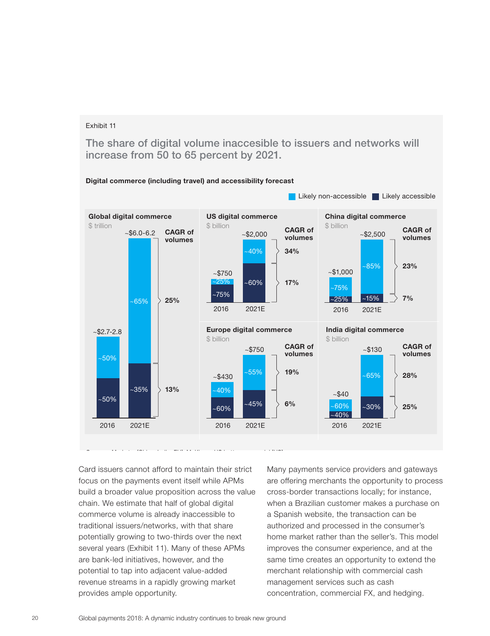**The share of digital volume inaccesible to issuers and networks will increase from 50 to 65 percent by 2021.**



Card issuers cannot afford to maintain their strict focus on the payments event itself while APMs build a broader value proposition across the value chain. We estimate that half of global digital commerce volume is already inaccessible to traditional issuers/networks, with that share potentially growing to two-thirds over the next several years (Exhibit 11). Many of these APMs are bank-led initiatives, however, and the potential to tap into adjacent value-added revenue streams in a rapidly growing market provides ample opportunity.

Many payments service providers and gateways are offering merchants the opportunity to process cross-border transactions locally; for instance, when a Brazilian customer makes a purchase on a Spanish website, the transaction can be authorized and processed in the consumer's home market rather than the seller's. This model improves the consumer experience, and at the same time creates an opportunity to extend the merchant relationship with commercial cash management services such as cash concentration, commercial FX, and hedging.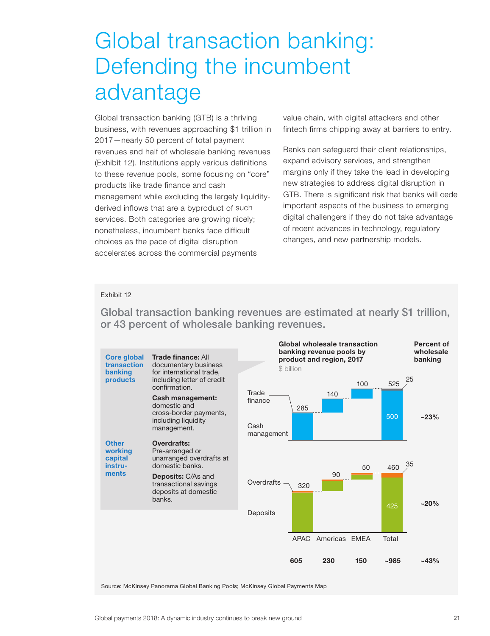# Global transaction banking: Defending the incumbent advantage

Global transaction banking (GTB) is a thriving business, with revenues approaching \$1 trillion in 2017—nearly 50 percent of total payment revenues and half of wholesale banking revenues (Exhibit 12). Institutions apply various definitions to these revenue pools, some focusing on "core" products like trade finance and cash management while excluding the largely liquidityderived inflows that are a byproduct of such services. Both categories are growing nicely; nonetheless, incumbent banks face difficult choices as the pace of digital disruption accelerates across the commercial payments

value chain, with digital attackers and other fintech firms chipping away at barriers to entry.

Banks can safeguard their client relationships, expand advisory services, and strengthen margins only if they take the lead in developing new strategies to address digital disruption in GTB. There is significant risk that banks will cede important aspects of the business to emerging digital challengers if they do not take advantage of recent advances in technology, regulatory changes, and new partnership models.

#### Exhibit 12

**Global transaction banking revenues are estimated at nearly \$1 trillion, or 43 percent of wholesale banking revenues.**



Source: McKinsey Panorama Global Banking Pools; McKinsey Global Payments Map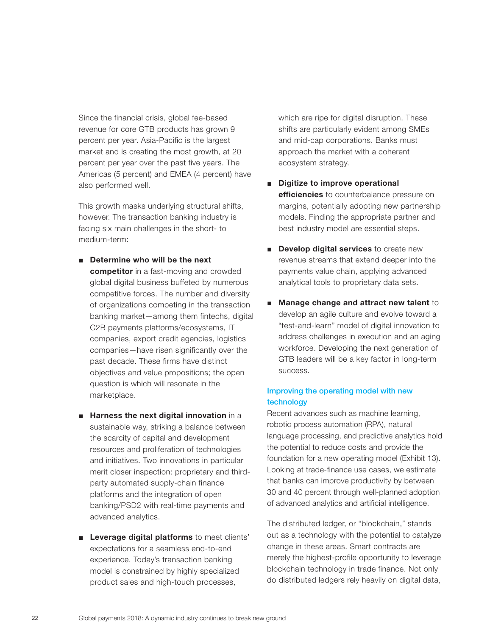Since the financial crisis, global fee-based revenue for core GTB products has grown 9 percent per year. Asia-Pacific is the largest market and is creating the most growth, at 20 percent per year over the past five years. The Americas (5 percent) and EMEA (4 percent) have also performed well.

This growth masks underlying structural shifts, however. The transaction banking industry is facing six main challenges in the short- to medium-term:

■ **Determine who will be the next competitor** in a fast-moving and crowded global digital business buffeted by numerous competitive forces. The number and diversity of organizations competing in the transaction banking market—among them fintechs, digital C2B payments platforms/ecosystems, IT companies, export credit agencies, logistics companies—have risen significantly over the past decade. These firms have distinct objectives and value propositions; the open

question is which will resonate in the

marketplace.

- **Harness the next digital innovation** in a sustainable way, striking a balance between the scarcity of capital and development resources and proliferation of technologies and initiatives. Two innovations in particular merit closer inspection: proprietary and thirdparty automated supply-chain finance platforms and the integration of open banking/PSD2 with real-time payments and advanced analytics.
- **Leverage digital platforms** to meet clients' expectations for a seamless end-to-end experience. Today's transaction banking model is constrained by highly specialized product sales and high-touch processes,

which are ripe for digital disruption. These shifts are particularly evident among SMEs and mid-cap corporations. Banks must approach the market with a coherent ecosystem strategy.

- **Digitize to improve operational efficiencies** to counterbalance pressure on margins, potentially adopting new partnership models. Finding the appropriate partner and best industry model are essential steps.
- **Develop digital services** to create new revenue streams that extend deeper into the payments value chain, applying advanced analytical tools to proprietary data sets.
- **Manage change and attract new talent** to develop an agile culture and evolve toward a "test-and-learn" model of digital innovation to address challenges in execution and an aging workforce. Developing the next generation of GTB leaders will be a key factor in long-term success.

### **Improving the operating model with new technology**

Recent advances such as machine learning, robotic process automation (RPA), natural language processing, and predictive analytics hold the potential to reduce costs and provide the foundation for a new operating model (Exhibit 13). Looking at trade-finance use cases, we estimate that banks can improve productivity by between 30 and 40 percent through well-planned adoption of advanced analytics and artificial intelligence.

The distributed ledger, or "blockchain," stands out as a technology with the potential to catalyze change in these areas. Smart contracts are merely the highest-profile opportunity to leverage blockchain technology in trade finance. Not only do distributed ledgers rely heavily on digital data,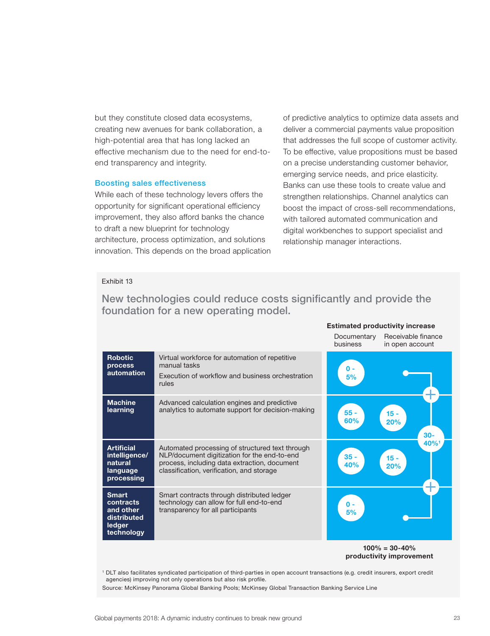but they constitute closed data ecosystems, creating new avenues for bank collaboration, a high-potential area that has long lacked an effective mechanism due to the need for end-toend transparency and integrity.

#### **Boosting sales effectiveness**

While each of these technology levers offers the opportunity for significant operational efficiency improvement, they also afford banks the chance to draft a new blueprint for technology architecture, process optimization, and solutions innovation. This depends on the broad application of predictive analytics to optimize data assets and deliver a commercial payments value proposition that addresses the full scope of customer activity. To be effective, value propositions must be based on a precise understanding customer behavior, emerging service needs, and price elasticity. Banks can use these tools to create value and strengthen relationships. Channel analytics can boost the impact of cross-sell recommendations, with tailored automated communication and digital workbenches to support specialist and relationship manager interactions.

**Estimated productivity increase**

#### Exhibit 13

|                                                                               |                                                                                                                                                                                              | Documentary<br>business | Receivable finance<br>in open account |  |
|-------------------------------------------------------------------------------|----------------------------------------------------------------------------------------------------------------------------------------------------------------------------------------------|-------------------------|---------------------------------------|--|
| <b>Robotic</b><br>process<br>automation                                       | Virtual workforce for automation of repetitive<br>manual tasks<br>Execution of workflow and business orchestration<br>rules                                                                  | 0 -<br>5%               |                                       |  |
| <b>Machine</b><br>learning                                                    | Advanced calculation engines and predictive<br>analytics to automate support for decision-making                                                                                             | $55 -$<br>60%           | $15 -$<br>20%<br>$30 -$               |  |
| <b>Artificial</b><br>intelligence/<br>natural<br>language<br>processing       | Automated processing of structured text through<br>NLP/document digitization for the end-to-end<br>process, including data extraction, document<br>classification, verification, and storage | $35 -$<br>40%           | 40%<br>$15 -$<br>20%                  |  |
| <b>Smart</b><br>contracts<br>and other<br>distributed<br>ledger<br>technology | Smart contracts through distributed ledger<br>technology can allow for full end-to-end<br>transparency for all participants                                                                  | $\mathbf{0}$ -<br>5%    |                                       |  |
| $1000 = 20.400$                                                               |                                                                                                                                                                                              |                         |                                       |  |

### **New technologies could reduce costs significantly and provide the foundation for a new operating model.**

**100% = 30-40% productivity improvement**

1 DLT also facilitates syndicated participation of third-parties in open account transactions (e.g. credit insurers, export credit agencies) improving not only operations but also risk profile.

Source: McKinsey Panorama Global Banking Pools; McKinsey Global Transaction Banking Service Line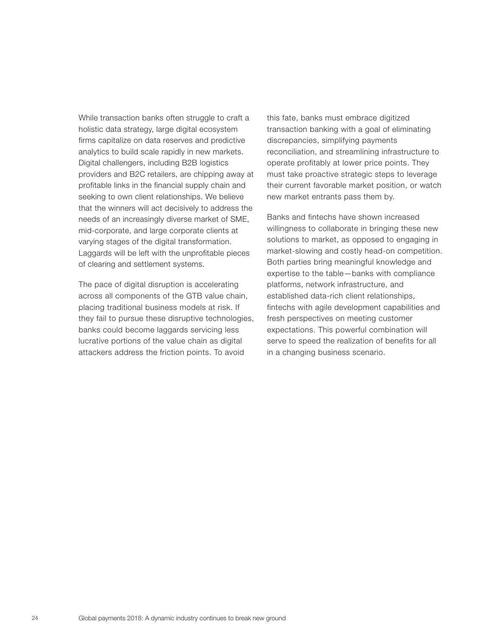While transaction banks often struggle to craft a holistic data strategy, large digital ecosystem firms capitalize on data reserves and predictive analytics to build scale rapidly in new markets. Digital challengers, including B2B logistics providers and B2C retailers, are chipping away at profitable links in the financial supply chain and seeking to own client relationships. We believe that the winners will act decisively to address the needs of an increasingly diverse market of SME, mid-corporate, and large corporate clients at varying stages of the digital transformation. Laggards will be left with the unprofitable pieces of clearing and settlement systems.

The pace of digital disruption is accelerating across all components of the GTB value chain, placing traditional business models at risk. If they fail to pursue these disruptive technologies, banks could become laggards servicing less lucrative portions of the value chain as digital attackers address the friction points. To avoid

this fate, banks must embrace digitized transaction banking with a goal of eliminating discrepancies, simplifying payments reconciliation, and streamlining infrastructure to operate profitably at lower price points. They must take proactive strategic steps to leverage their current favorable market position, or watch new market entrants pass them by.

Banks and fintechs have shown increased willingness to collaborate in bringing these new solutions to market, as opposed to engaging in market-slowing and costly head-on competition. Both parties bring meaningful knowledge and expertise to the table—banks with compliance platforms, network infrastructure, and established data-rich client relationships, fintechs with agile development capabilities and fresh perspectives on meeting customer expectations. This powerful combination will serve to speed the realization of benefits for all in a changing business scenario.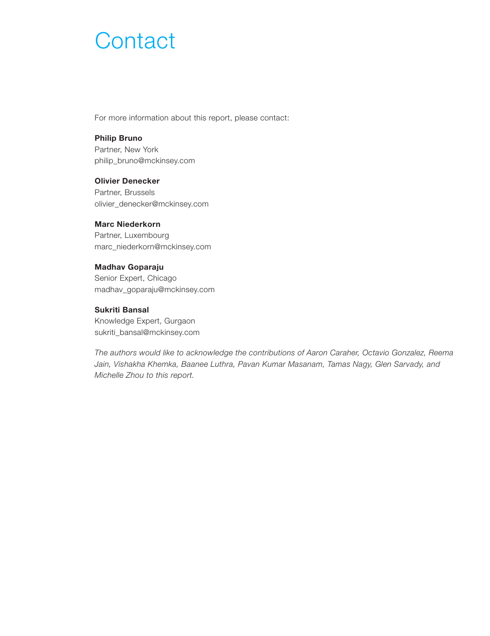# **Contact**

For more information about this report, please contact:

#### **Philip Bruno**

Partner, New York philip\_bruno@mckinsey.com

### **Olivier Denecker**

Partner, Brussels olivier\_denecker@mckinsey.com

### **Marc Niederkorn**

Partner, Luxembourg marc\_niederkorn@mckinsey.com

#### **Madhav Goparaju**

Senior Expert, Chicago madhav\_goparaju@mckinsey.com

### **Sukriti Bansal**

Knowledge Expert, Gurgaon sukriti\_bansal@mckinsey.com

*The authors would like to acknowledge the contributions of Aaron Caraher, Octavio Gonzalez, Reema Jain, Vishakha Khemka, Baanee Luthra, Pavan Kumar Masanam, Tamas Nagy, Glen Sarvady, and Michelle Zhou to this report.*